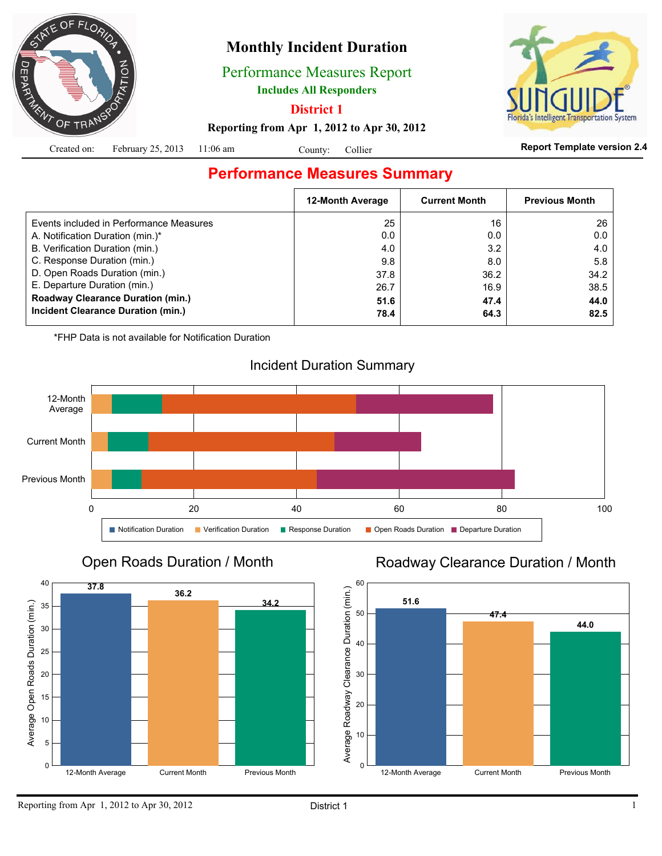

# **Monthly Incident Duration**

Performance Measures Report

**Includes All Responders**

**District 1**

System

**Reporting from Apr 1, 2012 to Apr 30, 2012**

|  | Created on: February 25, 2013 11:06 am |  | County: Collier |  |  |
|--|----------------------------------------|--|-----------------|--|--|
|--|----------------------------------------|--|-----------------|--|--|

#### **Report Template version 2.4**

# **Performance Measures Summary**

|                                          | <b>12-Month Average</b> | <b>Current Month</b> | <b>Previous Month</b> |
|------------------------------------------|-------------------------|----------------------|-----------------------|
| Events included in Performance Measures  | 25                      | 16                   | 26                    |
| A. Notification Duration (min.)*         | 0.0                     | 0.0                  | 0.0                   |
| B. Verification Duration (min.)          | 4.0                     | 3.2                  | 4.0                   |
| C. Response Duration (min.)              | 9.8                     | 8.0                  | 5.8                   |
| D. Open Roads Duration (min.)            | 37.8                    | 36.2                 | 34.2                  |
| E. Departure Duration (min.)             | 26.7                    | 16.9                 | 38.5                  |
| <b>Roadway Clearance Duration (min.)</b> | 51.6                    | 47.4                 | 44.0                  |
| Incident Clearance Duration (min.)       | 78.4                    | 64.3                 | 82.5                  |
|                                          |                         |                      |                       |

\*FHP Data is not available for Notification Duration



## Open Roads Duration / Month



## Roadway Clearance Duration / Month

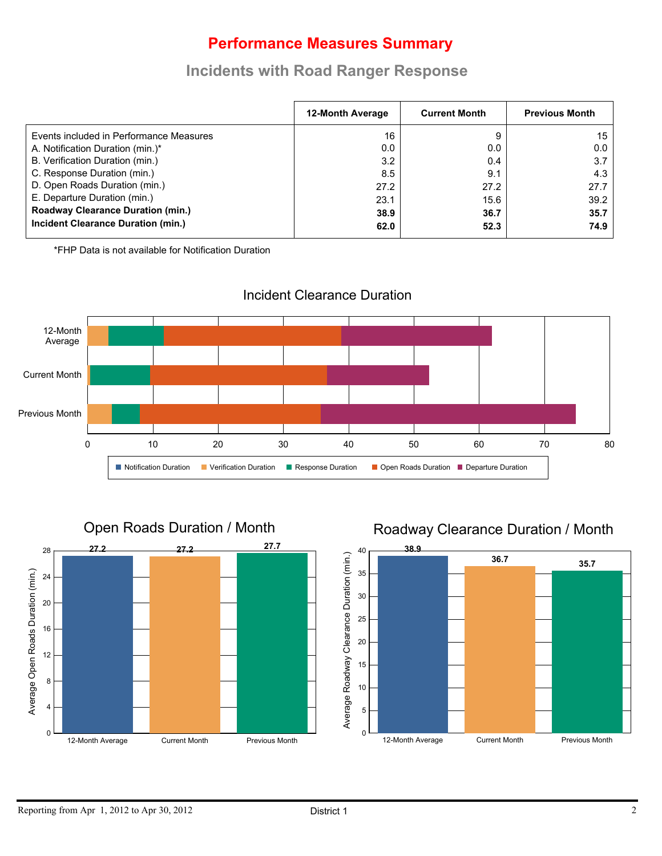# **Performance Measures Summary**

## **Incidents with Road Ranger Response**

|                                           | <b>12-Month Average</b> | <b>Current Month</b> | <b>Previous Month</b> |
|-------------------------------------------|-------------------------|----------------------|-----------------------|
| Events included in Performance Measures   | 16                      | 9                    | 15                    |
| A. Notification Duration (min.)*          | 0.0                     | 0.0                  | $0.0\,$               |
| B. Verification Duration (min.)           | 3.2                     | 0.4                  | 3.7                   |
| C. Response Duration (min.)               | 8.5                     | 9.1                  | 4.3                   |
| D. Open Roads Duration (min.)             | 27.2                    | 27.2                 | 27.7                  |
| E. Departure Duration (min.)              | 23.1                    | 15.6                 | 39.2                  |
| <b>Roadway Clearance Duration (min.)</b>  | 38.9                    | 36.7                 | 35.7                  |
| <b>Incident Clearance Duration (min.)</b> | 62.0                    | 52.3                 | 74.9                  |

\*FHP Data is not available for Notification Duration



#### Incident Clearance Duration



## Roadway Clearance Duration / Month

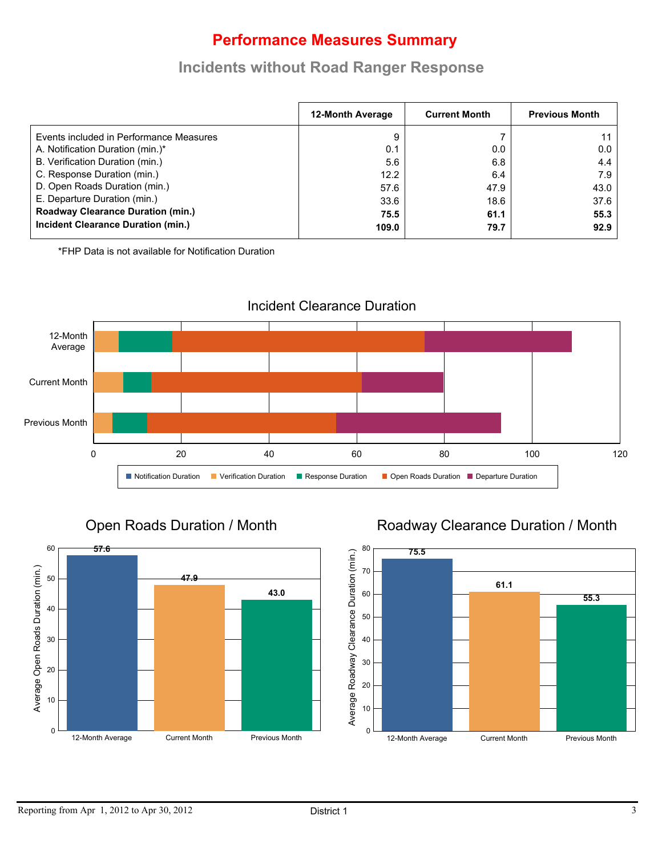# **Performance Measures Summary**

## **Incidents without Road Ranger Response**

|                                          | 12-Month Average | <b>Current Month</b> | <b>Previous Month</b> |
|------------------------------------------|------------------|----------------------|-----------------------|
| Events included in Performance Measures  | 9                |                      | 11                    |
| A. Notification Duration (min.)*         | 0.1              | 0.0                  | 0.0                   |
| B. Verification Duration (min.)          | 5.6              | 6.8                  | 4.4                   |
| C. Response Duration (min.)              | 12.2             | 6.4                  | 7.9                   |
| D. Open Roads Duration (min.)            | 57.6             | 47.9                 | 43.0                  |
| E. Departure Duration (min.)             | 33.6             | 18.6                 | 37.6                  |
| <b>Roadway Clearance Duration (min.)</b> | 75.5             | 61.1                 | 55.3                  |
| Incident Clearance Duration (min.)       | 109.0            | 79.7                 | 92.9                  |

\*FHP Data is not available for Notification Duration



Open Roads Duration / Month



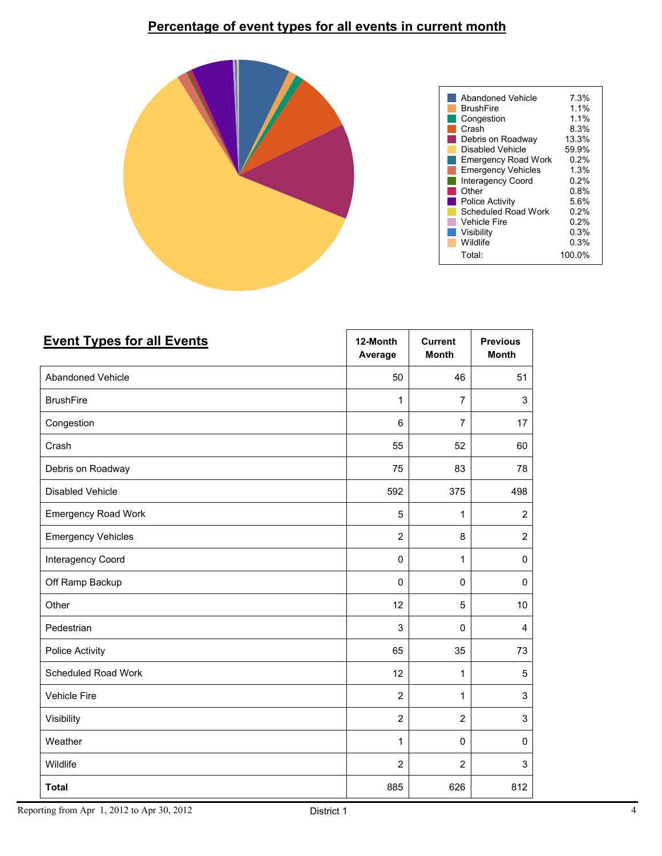## **Percentage of event types for all events in current month**



| <b>Event Types for all Events</b> | 12-Month<br>Average | <b>Current</b><br><b>Month</b> | <b>Previous</b><br><b>Month</b> |
|-----------------------------------|---------------------|--------------------------------|---------------------------------|
| Abandoned Vehicle                 | 50                  | 46                             | 51                              |
| <b>BrushFire</b>                  | $\mathbf{1}$        | 7                              | 3                               |
| Congestion                        | 6                   | 7                              | 17                              |
| Crash                             | 55                  | 52                             | 60                              |
| Debris on Roadway                 | 75                  | 83                             | 78                              |
| Disabled Vehicle                  | 592                 | 375                            | 498                             |
| <b>Emergency Road Work</b>        | 5                   | 1                              | $\overline{2}$                  |
| <b>Emergency Vehicles</b>         | $\overline{2}$      | 8                              | $\overline{2}$                  |
| Interagency Coord                 | $\pmb{0}$           | 1                              | $\pmb{0}$                       |
| Off Ramp Backup                   | $\mathbf 0$         | $\mathbf 0$                    | $\mathbf 0$                     |
| Other                             | 12                  | 5                              | $10\,$                          |
| Pedestrian                        | 3                   | $\Omega$                       | 4                               |
| Police Activity                   | 65                  | 35                             | 73                              |
| Scheduled Road Work               | 12                  | 1                              | 5                               |
| <b>Vehicle Fire</b>               | $\overline{2}$      | $\mathbf{1}$                   | 3                               |
| Visibility                        | $\overline{2}$      | $\overline{2}$                 | 3                               |
| Weather                           | 1                   | $\mathsf 0$                    | $\pmb{0}$                       |
| Wildlife                          | $\overline{2}$      | $\overline{2}$                 | 3                               |
| <b>Total</b>                      | 885                 | 626                            | 812                             |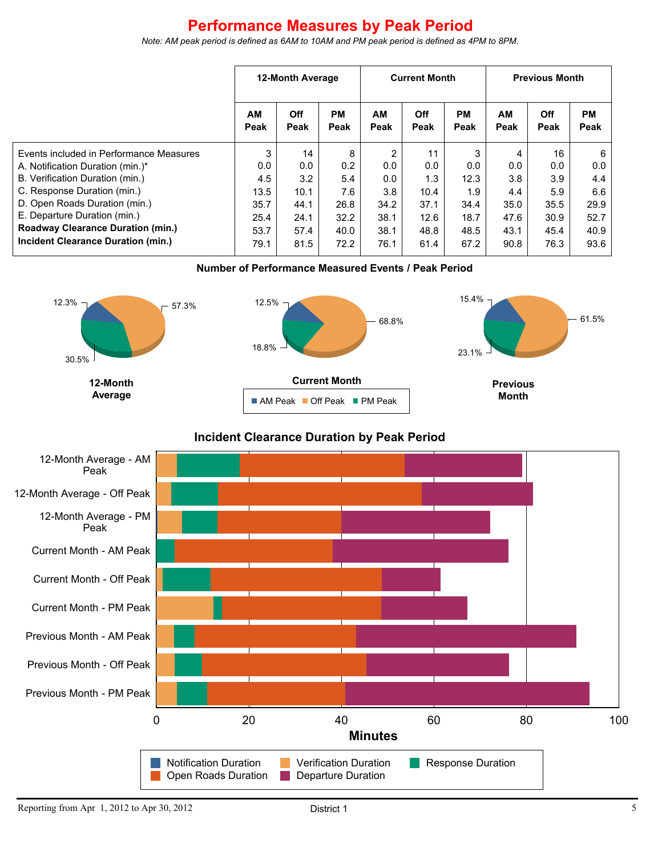# **Performance Measures by Peak Period**

**12-Month Average Current Month Previous Month AM Peak Off Peak PM Peak AM Peak Off Peak PM Peak AM Peak Off Peak PM Peak** Events included in Performance Measures A. Notification Duration (min.)\* B. Verification Duration (min.) C. Response Duration (min.) D. Open Roads Duration (min.) E. Departure Duration (min.) **Roadway Clearance Duration (min.) Incident Clearance Duration (min.)** 3 0.0 4.5 13.5 35.7 25.4 53.7 79.1 14 0.0 3.2 10.1 44.1 24.1 57.4 81.5 8 0.2 5.4 7.6 26.8 32.2 40.0 72.2 2 0.0 0.0 3.8 34.2 38.1 38.1 76.1 11 0.0 1.3 10.4 37.1 12.6 48.8 61.4 3 0.0 12.3 1.9 34.4 18.7 48.5 67.2 4 0.0 3.8 4.4 35.0 47.6 43.1 90.8 16 0.0 3.9 5.9 35.5 30.9 45.4 76.3 6 0.0 4.4 6.6 29.9 52.7 40.9 93.6

*Note: AM peak period is defined as 6AM to 10AM and PM peak period is defined as 4PM to 8PM.*

**Number of Performance Measured Events / Peak Period**



#### **Incident Clearance Duration by Peak Period**

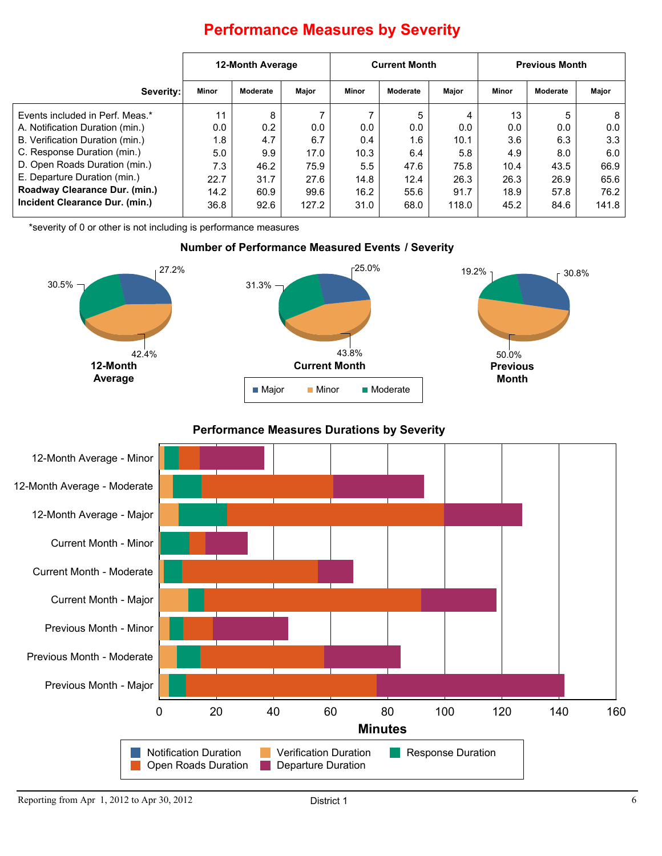|                                 | 12-Month Average |          |       | <b>Current Month</b> |          | <b>Previous Month</b> |       |          |       |
|---------------------------------|------------------|----------|-------|----------------------|----------|-----------------------|-------|----------|-------|
| Severity:                       | <b>Minor</b>     | Moderate | Major | Minor                | Moderate | Major                 | Minor | Moderate | Major |
| Events included in Perf. Meas.* | 11               | 8        |       |                      | 5        |                       | 13    | 5        | 8     |
| A. Notification Duration (min.) | 0.0              | 0.2      | 0.0   | 0.0                  | 0.0      | 0.0                   | 0.0   | 0.0      | 0.0   |
| B. Verification Duration (min.) | 1.8              | 4.7      | 6.7   | 0.4                  | 1.6      | 10.1                  | 3.6   | 6.3      | 3.3   |
| C. Response Duration (min.)     | 5.0              | 9.9      | 17.0  | 10.3                 | 6.4      | 5.8                   | 4.9   | 8.0      | 6.0   |
| D. Open Roads Duration (min.)   | 7.3              | 46.2     | 75.9  | 5.5                  | 47.6     | 75.8                  | 10.4  | 43.5     | 66.9  |
| E. Departure Duration (min.)    | 22.7             | 31.7     | 27.6  | 14.8                 | 12.4     | 26.3                  | 26.3  | 26.9     | 65.6  |
| Roadway Clearance Dur. (min.)   | 14.2             | 60.9     | 99.6  | 16.2                 | 55.6     | 91.7                  | 18.9  | 57.8     | 76.2  |
| Incident Clearance Dur. (min.)  | 36.8             | 92.6     | 127.2 | 31.0                 | 68.0     | 118.0                 | 45.2  | 84.6     | 141.8 |

# **Performance Measures by Severity**

\*severity of 0 or other is not including is performance measures

#### **Number of Performance Measured Events / Severity**



**Performance Measures Durations by Severity**

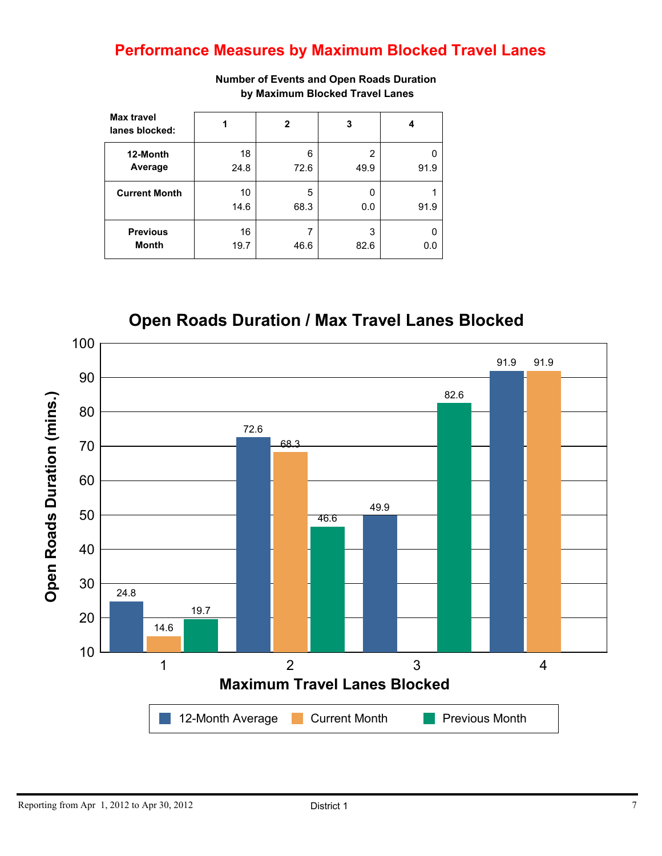# **Performance Measures by Maximum Blocked Travel Lanes**

| <b>Max travel</b><br>lanes blocked: | 1          | 2         | 3         |      |
|-------------------------------------|------------|-----------|-----------|------|
| 12-Month<br>Average                 | 18<br>24.8 | 6<br>72.6 | 2<br>49.9 | 91.9 |
| <b>Current Month</b>                | 10         | 5         | O         |      |
|                                     | 14.6       | 68.3      | 0.0       | 91.9 |
| <b>Previous</b><br><b>Month</b>     | 16<br>19.7 | ⇁<br>46.6 | 3<br>82.6 | 0.0  |

**Number of Events and Open Roads Duration by Maximum Blocked Travel Lanes**



**Open Roads Duration / Max Travel Lanes Blocked**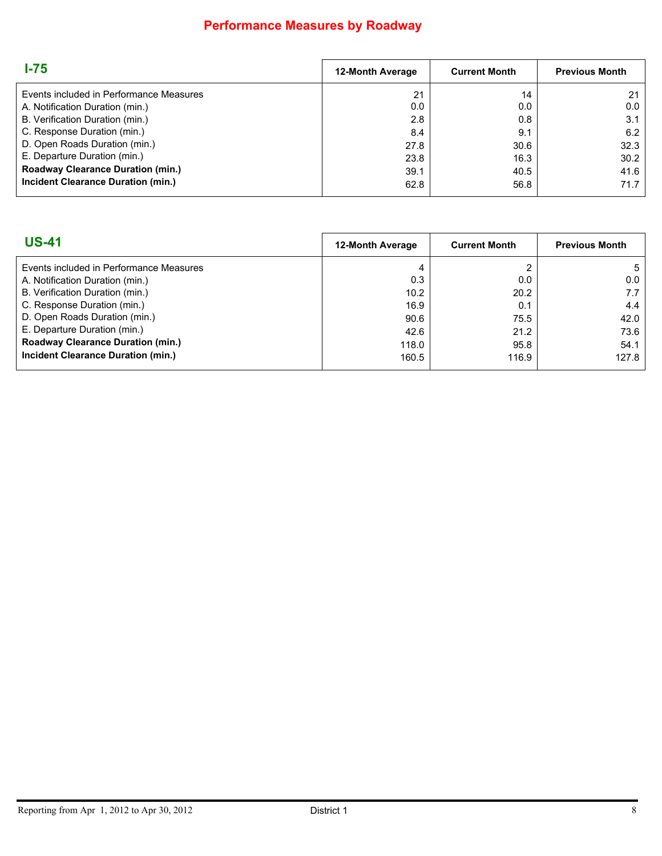## **Performance Measures by Roadway**

| $1-75$                                   | <b>12-Month Average</b> | <b>Current Month</b> | <b>Previous Month</b> |
|------------------------------------------|-------------------------|----------------------|-----------------------|
| Events included in Performance Measures  | 21                      | 14                   | 21                    |
| A. Notification Duration (min.)          | 0.0                     | 0.0                  | 0.0                   |
| B. Verification Duration (min.)          | 2.8                     | 0.8                  | 3.1                   |
| C. Response Duration (min.)              | 8.4                     | 9.1                  | 6.2                   |
| D. Open Roads Duration (min.)            | 27.8                    | 30.6                 | 32.3                  |
| E. Departure Duration (min.)             | 23.8                    | 16.3                 | 30.2                  |
| <b>Roadway Clearance Duration (min.)</b> | 39.1                    | 40.5                 | 41.6                  |
| Incident Clearance Duration (min.)       | 62.8                    | 56.8                 | 71.7                  |

| 12-Month Average<br><b>Current Month</b><br><b>Previous Month</b> |
|-------------------------------------------------------------------|
| 4<br>5                                                            |
| 0.3<br>0.0<br>0.0                                                 |
| 10.2<br>20.2<br>7.7                                               |
| 4.4<br>16.9<br>0.1                                                |
| 90.6<br>75.5<br>42.0                                              |
| 73.6<br>21.2<br>42.6                                              |
| 118.0<br>54.1<br>95.8                                             |
| 127.8<br>160.5<br>116.9                                           |
|                                                                   |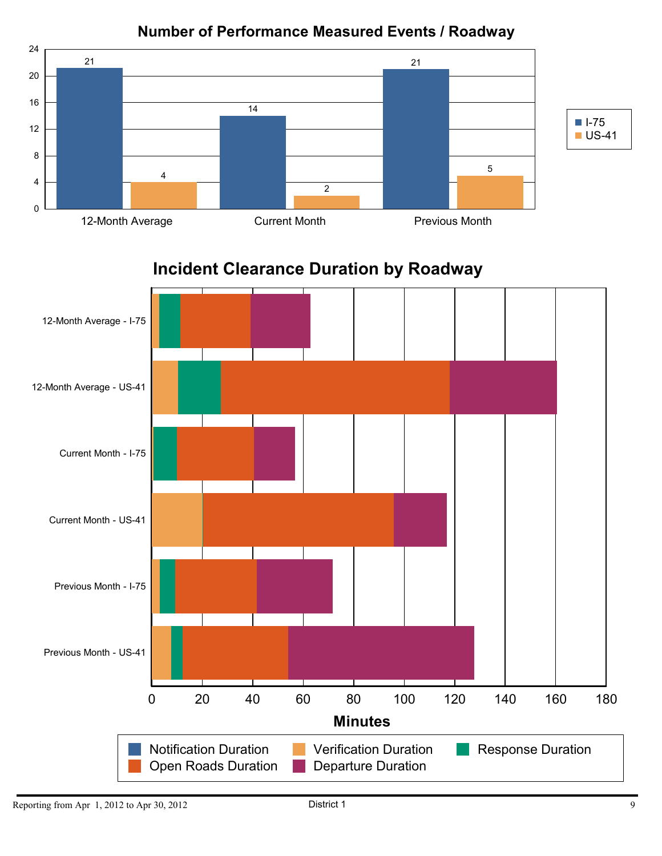

## **Number of Performance Measured Events / Roadway**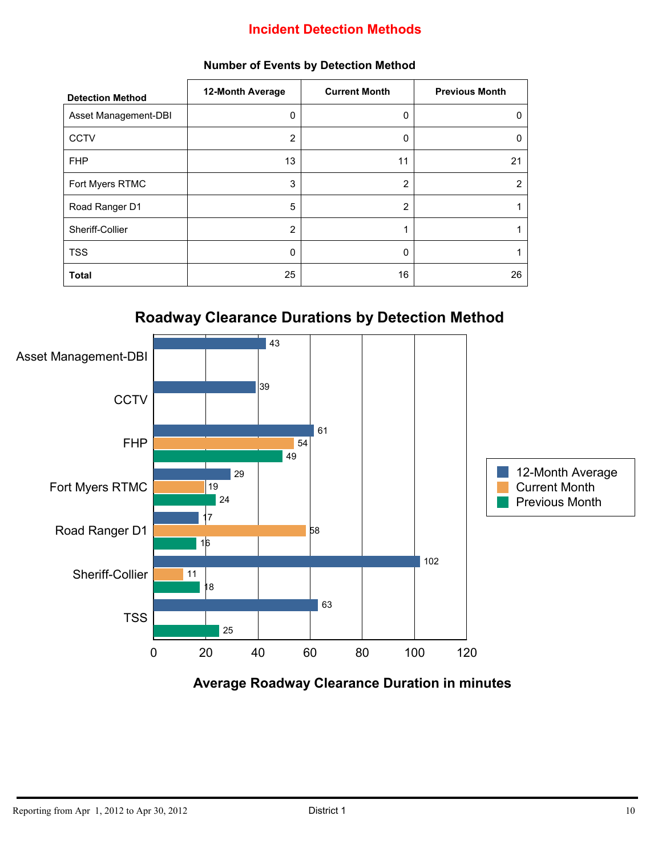### **Incident Detection Methods**

| <b>Detection Method</b> | 12-Month Average | <b>Current Month</b> | <b>Previous Month</b> |
|-------------------------|------------------|----------------------|-----------------------|
| Asset Management-DBI    | $\mathbf{0}$     | 0                    | 0                     |
| <b>CCTV</b>             | 2                | 0                    | 0                     |
| <b>FHP</b>              | 13               | 11                   | 21                    |
| Fort Myers RTMC         | 3                | $\overline{2}$       | 2                     |
| Road Ranger D1          | 5                | $\overline{2}$       |                       |
| Sheriff-Collier         | 2                | 1                    |                       |
| <b>TSS</b>              | $\mathbf{0}$     | $\Omega$             |                       |
| <b>Total</b>            | 25               | 16                   | 26                    |

#### **Number of Events by Detection Method**





**Average Roadway Clearance Duration in minutes**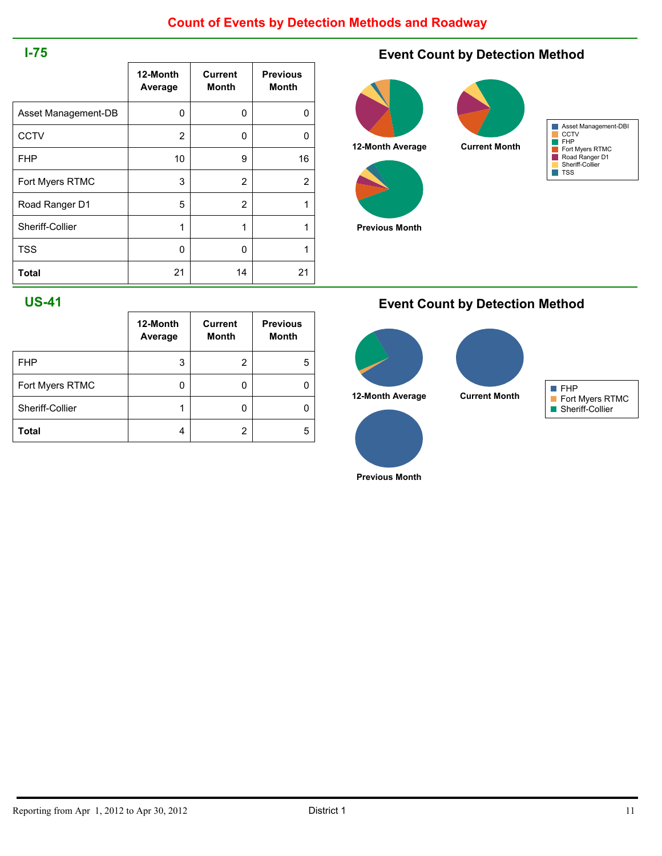#### **I-75**

|                     | 12-Month<br>Average | <b>Current</b><br>Month | <b>Previous</b><br><b>Month</b> |
|---------------------|---------------------|-------------------------|---------------------------------|
|                     |                     |                         |                                 |
| Asset Management-DB | 0                   | 0                       | 0                               |
| <b>CCTV</b>         | 2                   | 0                       | 0                               |
| <b>FHP</b>          | 10                  | 9                       | 16                              |
| Fort Myers RTMC     | 3                   | 2                       | 2                               |
| Road Ranger D1      | 5                   | 2                       | 1                               |
| Sheriff-Collier     | 1                   | 1                       | 1                               |
| <b>TSS</b>          | 0                   | 0                       |                                 |
| Total               | 21                  | 14                      | 21                              |

### **Event Count by Detection Method**



**Previous Month**



#### **US-41**

|                 | 12-Month<br>Average | <b>Current</b><br><b>Month</b> | <b>Previous</b><br><b>Month</b> |
|-----------------|---------------------|--------------------------------|---------------------------------|
| <b>FHP</b>      | 3                   | $\overline{2}$                 | 5                               |
| Fort Myers RTMC | O                   | 0                              |                                 |
| Sheriff-Collier | 1                   | 0                              |                                 |
| Total           | 4                   | 2                              | 5                               |

#### **Event Count by Detection Method**



**Previous Month**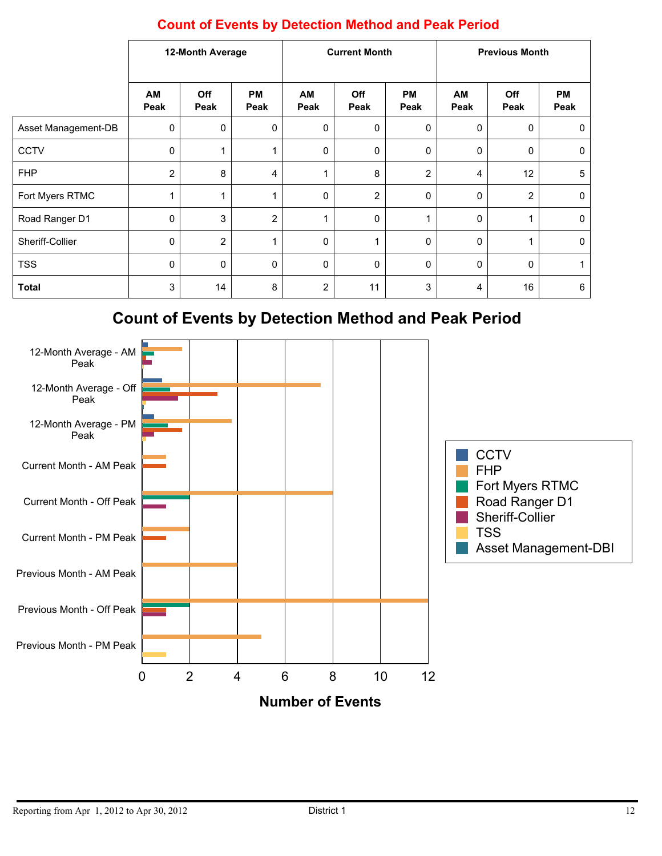|                     | 12-Month Average |                | <b>Current Month</b> |                  |                | <b>Previous Month</b> |             |                |                   |
|---------------------|------------------|----------------|----------------------|------------------|----------------|-----------------------|-------------|----------------|-------------------|
|                     | AM<br>Peak       | Off<br>Peak    | <b>PM</b><br>Peak    | AM<br>Peak       | Off<br>Peak    | <b>PM</b><br>Peak     | AM<br>Peak  | Off<br>Peak    | <b>PM</b><br>Peak |
| Asset Management-DB | 0                | 0              | 0                    | 0                | $\mathbf 0$    | 0                     | 0           | 0              | 0                 |
| <b>CCTV</b>         | 0                | 1              | 1                    | $\mathbf 0$      | 0              | 0                     | $\mathbf 0$ | 0              | 0                 |
| <b>FHP</b>          | 2                | 8              | 4                    | 1                | 8              | $\overline{2}$        | 4           | 12             | 5                 |
| Fort Myers RTMC     | -1               | 1              | 1                    | $\mathbf 0$      | $\overline{2}$ | $\mathbf 0$           | 0           | $\overline{2}$ | $\mathbf 0$       |
| Road Ranger D1      | 0                | $\mathbf{3}$   | $\overline{2}$       | 1                | $\mathbf 0$    | 1                     | 0           |                | 0                 |
| Sheriff-Collier     | 0                | $\overline{2}$ | 1                    | $\mathbf 0$      |                | $\mathbf 0$           | 0           |                | $\mathbf 0$       |
| <b>TSS</b>          | 0                | $\mathbf 0$    | 0                    | $\mathbf 0$      | $\Omega$       | $\mathbf{0}$          | 0           | $\mathbf{0}$   |                   |
| <b>Total</b>        | 3                | 14             | 8                    | $\boldsymbol{2}$ | 11             | $\mathsf 3$           | 4           | 16             | 6                 |

## **Count of Events by Detection Method and Peak Period**

# **Count of Events by Detection Method and Peak Period**

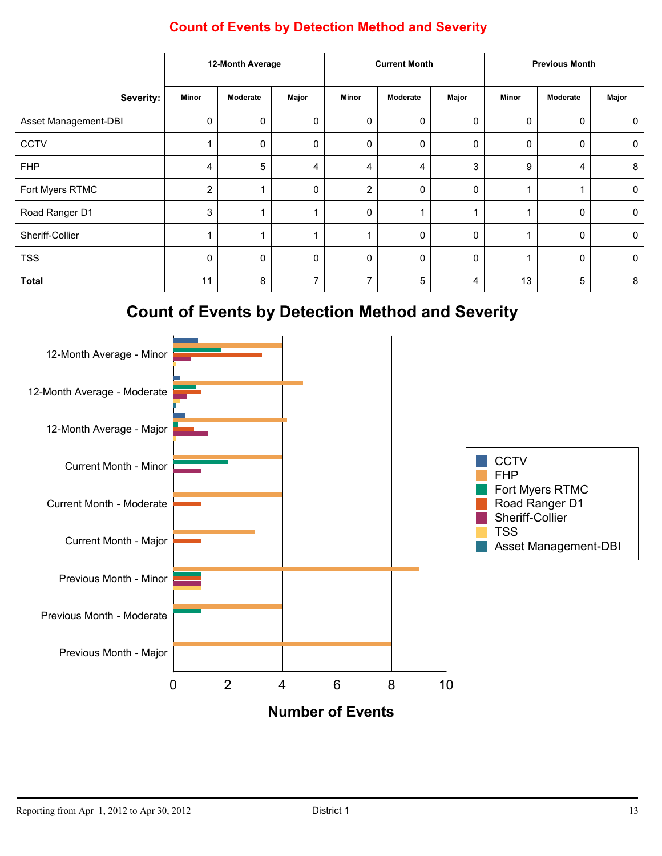|                      | 12-Month Average |          | <b>Current Month</b> |                  |          | <b>Previous Month</b> |              |          |       |
|----------------------|------------------|----------|----------------------|------------------|----------|-----------------------|--------------|----------|-------|
| Severity:            | <b>Minor</b>     | Moderate | Major                | Minor            | Moderate | Major                 | <b>Minor</b> | Moderate | Major |
| Asset Management-DBI | 0                | 0        | 0                    | $\boldsymbol{0}$ | 0        | 0                     | 0            | 0        | 0     |
| <b>CCTV</b>          |                  | 0        | 0                    | $\mathbf 0$      | 0        | 0                     | $\Omega$     | 0        | 0     |
| <b>FHP</b>           | 4                | 5        | 4                    | 4                | 4        | 3                     | 9            | 4        | 8     |
| Fort Myers RTMC      | $\overline{2}$   |          | 0                    | $\overline{2}$   | 0        | $\Omega$              |              |          | 0     |
| Road Ranger D1       | 3                |          |                      | $\mathbf 0$      |          |                       |              | 0        | 0     |
| Sheriff-Collier      |                  |          |                      | $\mathbf 1$      | 0        | 0                     |              | 0        | 0     |
| <b>TSS</b>           | 0                | 0        | 0                    | 0                | 0        | 0                     |              | 0        | 0     |
| <b>Total</b>         | 11               | 8        | 7                    | 7                | 5        | 4                     | 13           | 5        | 8     |

### **Count of Events by Detection Method and Severity**

# **Count of Events by Detection Method and Severity**

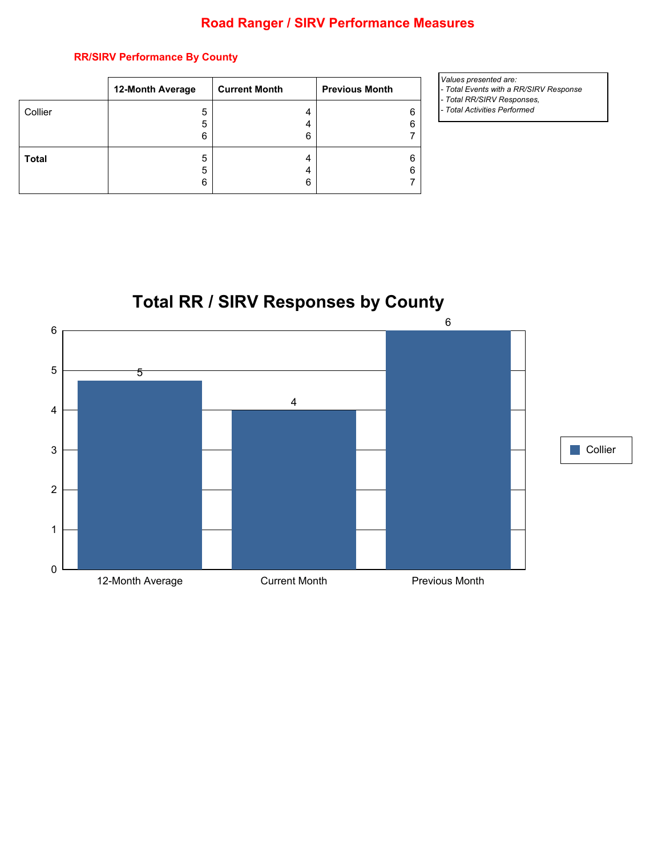#### **Road Ranger / SIRV Performance Measures**

#### **RR/SIRV Performance By County**

|              | 12-Month Average | <b>Current Month</b> | <b>Previous Month</b> |
|--------------|------------------|----------------------|-----------------------|
| Collier      | 5                | 4                    |                       |
|              | 5                | 4                    | ี่ค                   |
|              | 6                | 6                    |                       |
| <b>Total</b> | 5                | 4                    |                       |
|              | 5                | 4                    | 6                     |
|              | 6                | 6                    |                       |

- *Values presented are:*
- *Total Events with a RR/SIRV Response*
- *Total RR/SIRV Responses,*
- *Total Activities Performed*



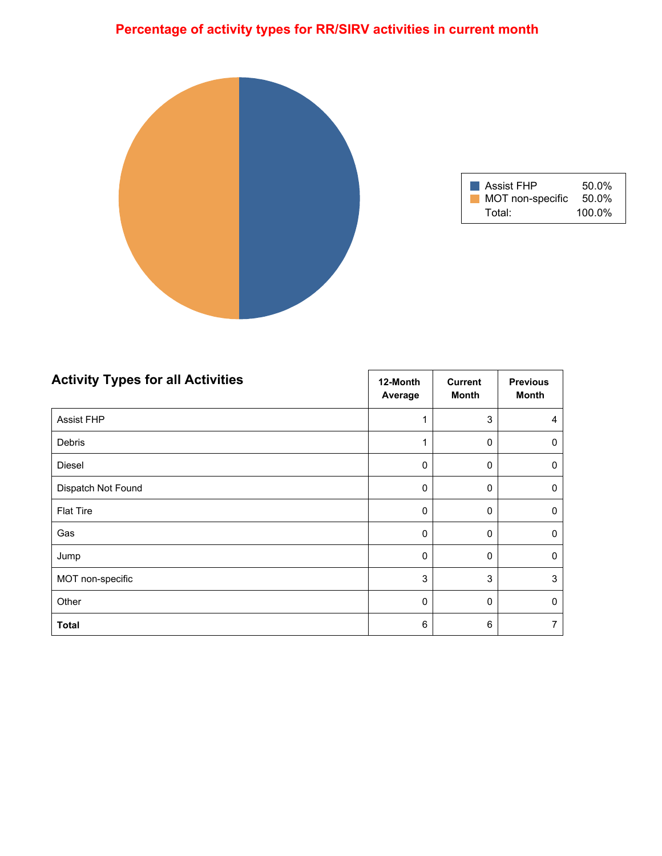# **Percentage of activity types for RR/SIRV activities in current month**



| Assist FHP       | 50.0%     |
|------------------|-----------|
| MOT non-specific | 50.0%     |
| Total:           | $100.0\%$ |

| <b>Activity Types for all Activities</b> | 12-Month<br>Average | <b>Current</b><br><b>Month</b> | <b>Previous</b><br><b>Month</b> |
|------------------------------------------|---------------------|--------------------------------|---------------------------------|
| <b>Assist FHP</b>                        | 1                   | 3                              | 4                               |
| Debris                                   | 1                   | $\mathbf 0$                    | 0                               |
| Diesel                                   | 0                   | 0                              | 0                               |
| Dispatch Not Found                       | 0                   | 0                              | 0                               |
| <b>Flat Tire</b>                         | 0                   | $\mathbf 0$                    | $\mathbf 0$                     |
| Gas                                      | 0                   | 0                              | 0                               |
| Jump                                     | 0                   | $\Omega$                       | $\mathbf{0}$                    |
| MOT non-specific                         | 3                   | 3                              | 3                               |
| Other                                    | 0                   | $\mathbf 0$                    | $\mathbf 0$                     |
| <b>Total</b>                             | 6                   | 6                              | 7                               |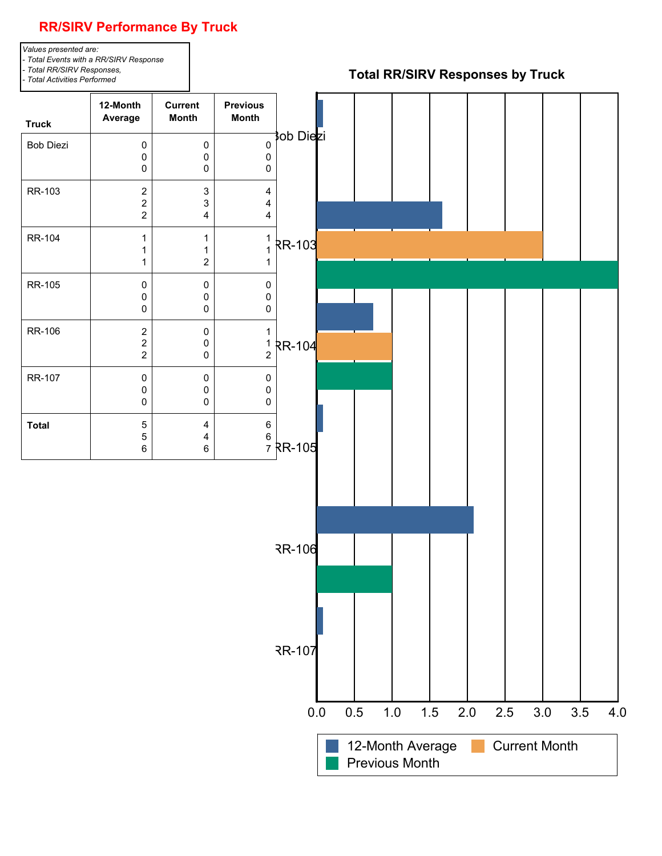# **RR/SIRV Performance By Truck**

*Values presented are: - Total Events with a RR/SIRV Response - Total RR/SIRV Responses, - Total Activities Performed*

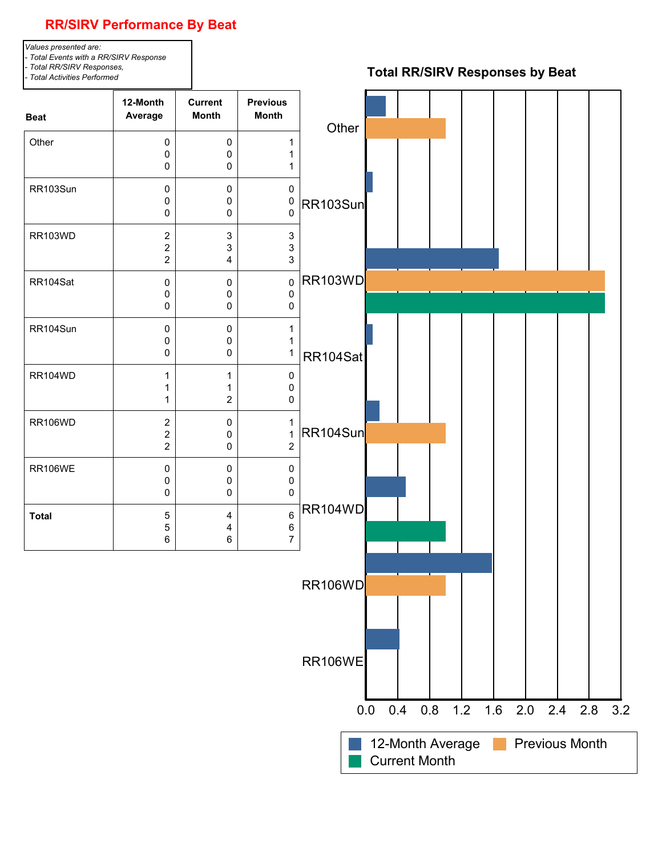

Current Month

#### **RR/SIRV Performance By Beat**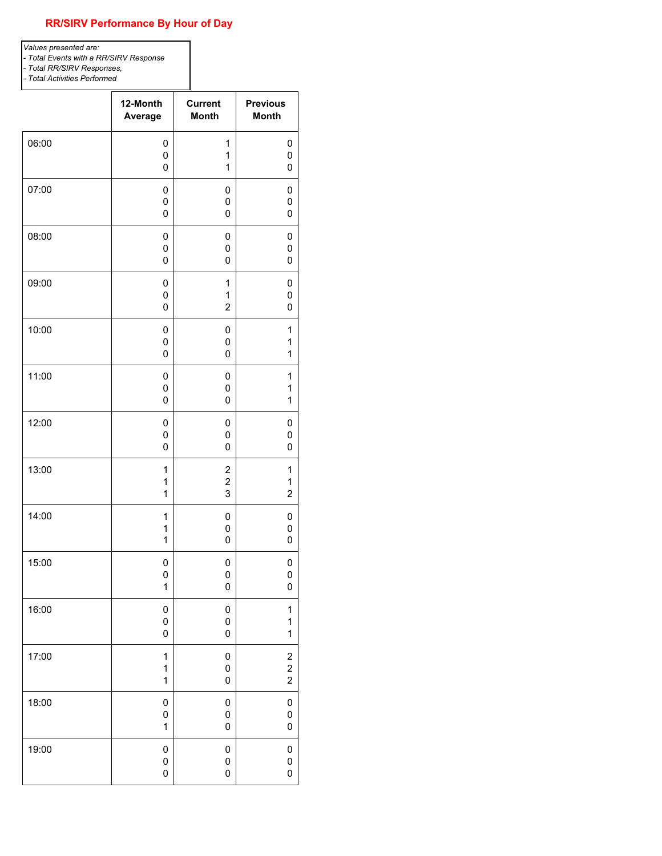#### **RR/SIRV Performance By Hour of Day**

*Values presented are: - Total Events with a RR/SIRV Response - Total RR/SIRV Responses, - Total Activities Performed*

|       | 12-Month     | <b>Current</b>          | <b>Previous</b>         |
|-------|--------------|-------------------------|-------------------------|
|       | Average      | <b>Month</b>            | <b>Month</b>            |
| 06:00 | 0            | 1                       | 0                       |
|       | 0            | 1                       | 0                       |
|       | $\mathbf 0$  | 1                       | 0                       |
| 07:00 | 0            | 0                       | 0                       |
|       | 0            | 0                       | 0                       |
|       | 0            | 0                       | 0                       |
| 08:00 | 0            | 0                       | 0                       |
|       | 0            | 0                       | 0                       |
|       | $\mathbf 0$  | 0                       | 0                       |
| 09:00 | 0            | 1                       | 0                       |
|       | $\pmb{0}$    | 1                       | 0                       |
|       | 0            | $\overline{2}$          | 0                       |
| 10:00 | 0            | 0                       | $\mathbf{1}$            |
|       | 0            | 0                       | 1                       |
|       | 0            | 0                       | 1                       |
| 11:00 | 0            | 0                       | $\mathbf{1}$            |
|       | 0            | 0                       | 1                       |
|       | $\mathbf 0$  | 0                       | 1                       |
| 12:00 | 0            | 0                       | 0                       |
|       | 0            | 0                       | $\mathbf 0$             |
|       | 0            | 0                       | 0                       |
| 13:00 | 1            | $\boldsymbol{2}$        | $\mathbf{1}$            |
|       | 1            | $\overline{\mathbf{c}}$ | 1                       |
|       | $\mathbf{1}$ | 3                       | $\overline{c}$          |
| 14:00 | 1            | 0                       | 0                       |
|       | $\mathbf{1}$ | 0                       | 0                       |
|       | 1            | 0                       | 0                       |
| 15:00 | 0            | 0                       | 0                       |
|       | $\pmb{0}$    | 0                       | 0                       |
|       | $\mathbf{1}$ | 0                       | 0                       |
| 16:00 | $\pmb{0}$    | 0                       | $\mathbf{1}$            |
|       | 0            | 0                       | 1                       |
|       | $\pmb{0}$    | 0                       | 1                       |
| 17:00 | 1            | 0                       | $\overline{\mathbf{c}}$ |
|       | 1            | 0                       | $\overline{\mathbf{c}}$ |
|       | $\mathbf{1}$ | 0                       | $\overline{c}$          |
| 18:00 | $\pmb{0}$    | 0                       | 0                       |
|       | $\pmb{0}$    | 0                       | 0                       |
|       | 1            | 0                       | 0                       |
| 19:00 | $\pmb{0}$    | 0                       | 0                       |
|       | $\pmb{0}$    | 0                       | 0                       |
|       | $\mathbf 0$  | 0                       | 0                       |